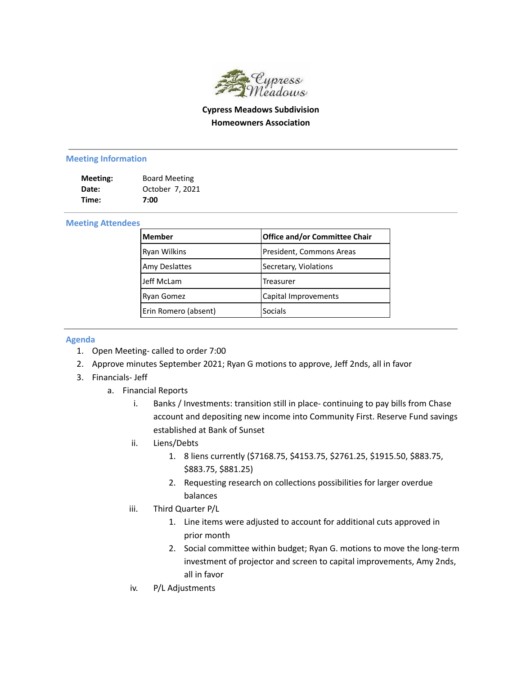

## **Cypress Meadows Subdivision Homeowners Association**

## **Meeting Information**

| Meeting: | <b>Board Meeting</b> |
|----------|----------------------|
| Date:    | October 7, 2021      |
| Time:    | 7:00                 |

## **Meeting Attendees**

| <b>Member</b>        | <b>Office and/or Committee Chair</b> |
|----------------------|--------------------------------------|
| <b>Ryan Wilkins</b>  | President, Commons Areas             |
| <b>Amy Deslattes</b> | Secretary, Violations                |
| Jeff McLam           | <b>Treasurer</b>                     |
| Ryan Gomez           | Capital Improvements                 |
| Erin Romero (absent) | <b>Socials</b>                       |

## **Agenda**

- 1. Open Meeting- called to order 7:00
- 2. Approve minutes September 2021; Ryan G motions to approve, Jeff 2nds, all in favor
- 3. Financials- Jeff
	- a. Financial Reports
		- i. Banks / Investments: transition still in place- continuing to pay bills from Chase account and depositing new income into Community First. Reserve Fund savings established at Bank of Sunset
		- ii. Liens/Debts
			- 1. 8 liens currently (\$7168.75, \$4153.75, \$2761.25, \$1915.50, \$883.75, \$883.75, \$881.25)
			- 2. Requesting research on collections possibilities for larger overdue balances
		- iii. Third Quarter P/L
			- 1. Line items were adjusted to account for additional cuts approved in prior month
			- 2. Social committee within budget; Ryan G. motions to move the long-term investment of projector and screen to capital improvements, Amy 2nds, all in favor
		- iv. P/L Adjustments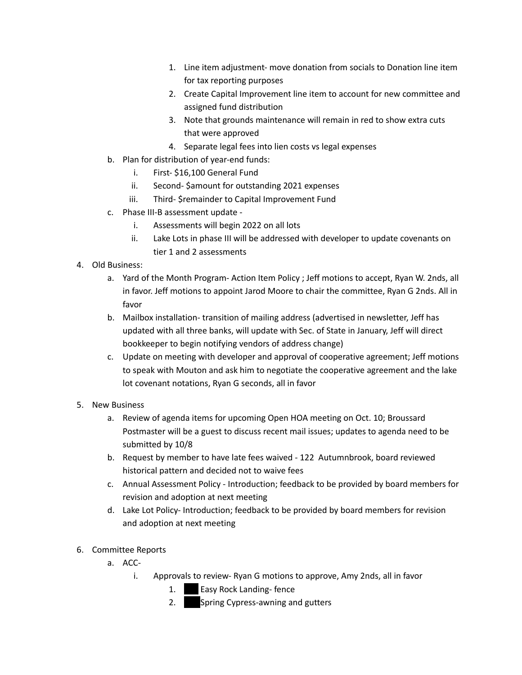- 1. Line item adjustment- move donation from socials to Donation line item for tax reporting purposes
- 2. Create Capital Improvement line item to account for new committee and assigned fund distribution
- 3. Note that grounds maintenance will remain in red to show extra cuts that were approved
- 4. Separate legal fees into lien costs vs legal expenses
- b. Plan for distribution of year-end funds:
	- i. First- \$16,100 General Fund
	- ii. Second- \$amount for outstanding 2021 expenses
	- iii. Third- \$remainder to Capital Improvement Fund
- c. Phase III-B assessment update
	- i. Assessments will begin 2022 on all lots
	- ii. Lake Lots in phase III will be addressed with developer to update covenants on tier 1 and 2 assessments
- 4. Old Business:
	- a. Yard of the Month Program- Action Item Policy ; Jeff motions to accept, Ryan W. 2nds, all in favor. Jeff motions to appoint Jarod Moore to chair the committee, Ryan G 2nds. All in favor
	- b. Mailbox installation- transition of mailing address (advertised in newsletter, Jeff has updated with all three banks, will update with Sec. of State in January, Jeff will direct bookkeeper to begin notifying vendors of address change)
	- c. Update on meeting with developer and approval of cooperative agreement; Jeff motions to speak with Mouton and ask him to negotiate the cooperative agreement and the lake lot covenant notations, Ryan G seconds, all in favor
- 5. New Business
	- a. Review of agenda items for upcoming Open HOA meeting on Oct. 10; Broussard Postmaster will be a guest to discuss recent mail issues; updates to agenda need to be submitted by 10/8
	- b. Request by member to have late fees waived 122 Autumnbrook, board reviewed historical pattern and decided not to waive fees
	- c. Annual Assessment Policy Introduction; feedback to be provided by board members for revision and adoption at next meeting
	- d. Lake Lot Policy- Introduction; feedback to be provided by board members for revision and adoption at next meeting
- 6. Committee Reports
	- a. ACC
		- i. Approvals to review- Ryan G motions to approve, Amy 2nds, all in favor
			- 1. **Easy Rock Landing-fence**
			- 2. Spring Cypress-awning and gutters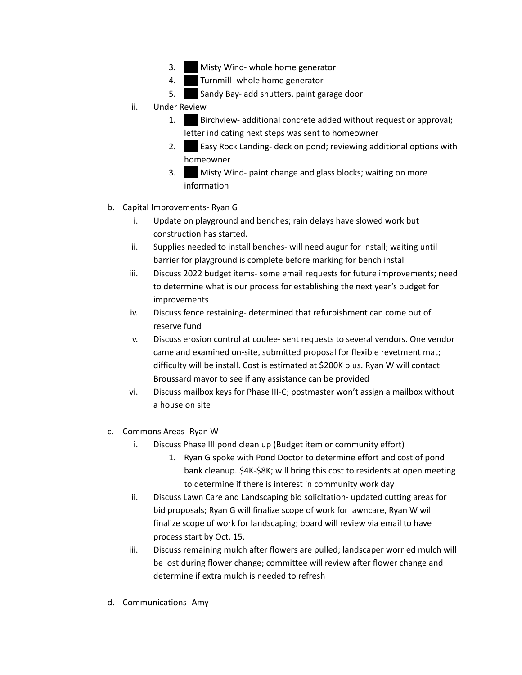- 3. Misty Wind- whole home generator
- 4. Turnmill- whole home generator
- 5. Sandy Bay- add shutters, paint garage door
- ii. Under Review
	- 1. **Birchview- additional concrete added without request or approval;** letter indicating next steps was sent to homeowner
	- 2. **Easy Rock Landing- deck on pond; reviewing additional options with** homeowner
	- 3. Misty Wind- paint change and glass blocks; waiting on more information
- b. Capital Improvements- Ryan G
	- i. Update on playground and benches; rain delays have slowed work but construction has started.
	- ii. Supplies needed to install benches- will need augur for install; waiting until barrier for playground is complete before marking for bench install
	- iii. Discuss 2022 budget items- some email requests for future improvements; need to determine what is our process for establishing the next year's budget for improvements
	- iv. Discuss fence restaining- determined that refurbishment can come out of reserve fund
	- v. Discuss erosion control at coulee- sent requests to several vendors. One vendor came and examined on-site, submitted proposal for flexible revetment mat; difficulty will be install. Cost is estimated at \$200K plus. Ryan W will contact Broussard mayor to see if any assistance can be provided
	- vi. Discuss mailbox keys for Phase III-C; postmaster won't assign a mailbox without a house on site
- c. Commons Areas- Ryan W
	- i. Discuss Phase III pond clean up (Budget item or community effort)
		- 1. Ryan G spoke with Pond Doctor to determine effort and cost of pond bank cleanup. \$4K-\$8K; will bring this cost to residents at open meeting to determine if there is interest in community work day
	- ii. Discuss Lawn Care and Landscaping bid solicitation- updated cutting areas for bid proposals; Ryan G will finalize scope of work for lawncare, Ryan W will finalize scope of work for landscaping; board will review via email to have process start by Oct. 15.
	- iii. Discuss remaining mulch after flowers are pulled; landscaper worried mulch will be lost during flower change; committee will review after flower change and determine if extra mulch is needed to refresh
- d. Communications- Amy